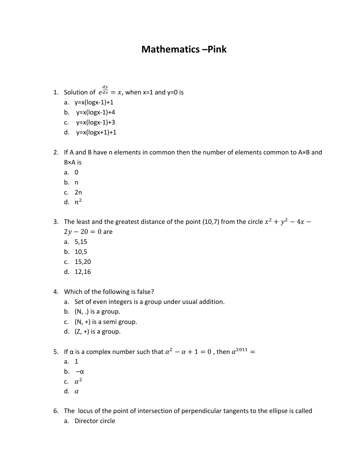## **Mathematics –Pink**

- 1. Solution of  $e^{\frac{dy}{dx}} = x$ , when x=1 and y=0 is
	- a. y=x(logx-1)+1
	- b. y=x(logx-1)+4
	- c.  $y=x(logx-1)+3$
	- d. y=x(logx+1)+1
- 2. If A and B have n elements in common then the number of elements common to A×B and B×A is
	- a. 0
	- b. n
	- c. 2n
	- d.  $n^2$
- 3. The least and the greatest distance of the point (10,7) from the circle  $x^2 + y^2 4x 2y - 20 = 0$  are
	- a. 5,15
	- b. 10,5
	- c. 15,20
	- d. 12,16
- 4. Which of the following is false?
	- a. Set of even integers is a group under usual addition.
	- b.  $(N, .)$  is a group.
	- c.  $(N, +)$  is a semi group.
	- d.  $(Z, +)$  is a group.
- 5. If α is a complex number such that  $\alpha^2 \alpha + 1 = 0$  , then  $\alpha^{2011} =$ 
	- a. 1
	- b. –α
	- c.  $\alpha^2$
	- d.  $\alpha$
- 6. The locus of the point of intersection of perpendicular tangents to the ellipse is called
	- a. Director circle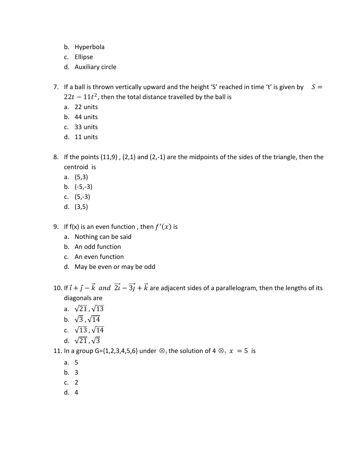- b. Hyperbola
- c. Ellipse
- d. Auxiliary circle
- 7. If a ball is thrown vertically upward and the height 'S' reached in time 't' is given by  $S =$  $22t - 11t^2$ , then the total distance travelled by the ball is
	- a. 22 units
	- b. 44 units
	- c. 33 units
	- d. 11 units
- 8. If the points (11,9) , (2,1) and (2,-1) are the midpoints of the sides of the triangle, then the centroid is
	- a. (5,3)
	- b. (-5,-3)
	- c. (5,-3)
	- d. (3,5)
- 9. If f(x) is an even function, then  $f'(x)$  is
	- a. Nothing can be said
	- b. An odd function
	- c. An even function
	- d. May be even or may be odd
- 10. If  $\vec{i} + \vec{j} \vec{k}$  and  $\vec{2i} \vec{3j} + \vec{k}$  are adjacent sides of a parallelogram, then the lengths of its diagonals are
	- a.  $\sqrt{21}$ ,  $\sqrt{13}$
	- b.  $\sqrt{3}$ ,  $\sqrt{14}$
	- c.  $\sqrt{13}, \sqrt{14}$
	- d.  $\sqrt{21}, \sqrt{3}$

11. In a group G={1,2,3,4,5,6} under  $\otimes_{7}$  the solution of 4  $\otimes_{7} x = 5$  is

- a. 5
- b. 3
- c. 2
- d. 4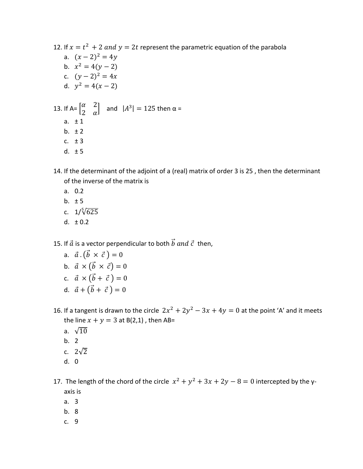12. If  $x = t^2 + 2$  and  $y = 2t$  represent the parametric equation of the parabola a.  $(x-2)^2 = 4y$ b.  $x^2 = 4(y - 2)$ c.  $(y-2)^2 = 4x$ d.  $y^2 = 4(x - 2)$ 13. If A=  $\begin{bmatrix} \alpha & 2 \\ 2 & \alpha \end{bmatrix}$  $\begin{bmatrix} a & 2 \\ 2 & a \end{bmatrix}$  and  $|A^3| = 125$  then  $\alpha =$ a.  $\pm 1$ b.  $\pm 2$ c.  $\pm 3$ d.  $\pm 5$ 

- 14. If the determinant of the adjoint of a (real) matrix of order 3 is 25 , then the determinant of the inverse of the matrix is
	- a. 0.2
	- b.  $\pm 5$
	- c.  $1/\sqrt[5]{625}$
	- d.  $\pm 0.2$

15. If  $\vec{a}$  is a vector perpendicular to both  $\vec{b}$  and  $\vec{c}$  then,

- a.  $\vec{a} \cdot (\vec{b} \times \vec{c}) = 0$
- b.  $\vec{a} \times (\vec{b} \times \vec{c}) = 0$
- c.  $\vec{a} \times (\vec{b} + \vec{c}) = 0$
- d.  $\vec{a} + (\vec{b} + \vec{c}) = 0$
- 16. If a tangent is drawn to the circle  $2x^2 + 2y^2 3x + 4y = 0$  at the point 'A' and it meets the line  $x + y = 3$  at B(2,1), then AB=
	- a.  $\sqrt{10}$
	- b. 2
	- c.  $2\sqrt{2}$
	- d. 0
- 17. The length of the chord of the circle  $x^2 + y^2 + 3x + 2y 8 = 0$  intercepted by the yaxis is
	- a. 3
	- b. 8
	- c. 9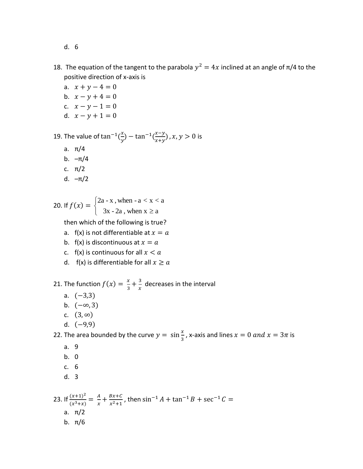- d. 6
- 18. The equation of the tangent to the parabola  $y^2 = 4x$  inclined at an angle of π/4 to the positive direction of x-axis is
	- a.  $x + y 4 = 0$ b.  $x - y + 4 = 0$ c.  $x - y - 1 = 0$ d.  $x - y + 1 = 0$

19. The value of tan<sup>-1</sup> $\left(\frac{x}{y}\right)$  $\frac{x}{y}$ ) – tan<sup>-1</sup> $\left(\frac{x-y}{x+y}\right)$  $\frac{x-y}{x+y}$ ,  $x, y > 0$  is

- a. π/4
- b. –π/4
- c. π/2
- d. –π/2

20. If 
$$
f(x) = \begin{cases} 2a - x, \text{ when } -a < x < a \\ 3x - 2a, \text{ when } x \ge a \end{cases}
$$

then which of the following is true?

- a.  $f(x)$  is not differentiable at  $x = a$
- b.  $f(x)$  is discontinuous at  $x = a$
- c.  $f(x)$  is continuous for all  $x < a$
- d. f(x) is differentiable for all  $x \ge a$

21. The function  $f(x) = \frac{x}{2}$  $\frac{x}{3} + \frac{3}{x}$  $\frac{3}{x}$  decreases in the interval

- a.  $(-3,3)$
- b.  $(-\infty, 3)$
- c.  $(3, \infty)$
- d.  $(-9,9)$

22. The area bounded by the curve  $y = sin \frac{x}{3}$ , x-axis and lines  $x = 0$  and  $x = 3\pi$  is

- a. 9
- b. 0
- c. 6
- d. 3

23. If  $\frac{(x+1)^2}{(x^3+x)}$  $\frac{(x+1)^2}{(x^3+x)} = \frac{A}{x}$  $\frac{A}{x} + \frac{Bx + C}{x^2 + 1}$  $\frac{Bx+C}{x^2+1}$ , then sin<sup>-1</sup> A + tan<sup>-1</sup> B + sec<sup>-1</sup> C = a. π/2 b. π/6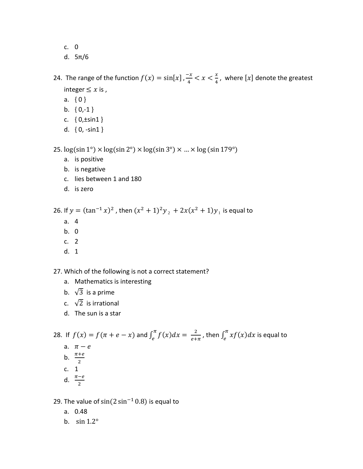- c. 0
- d. 5π/6

24. The range of the function  $f(x) = \sin[x]$ ,  $\frac{-x}{4}$  $\frac{-x}{4} < x < \frac{x}{4}$  $\frac{x}{4}$ , where  $[x]$  denote the greatest integer  $\leq x$  is,

- a. { 0 }
- b.  ${0, -1}$
- c.  ${0, \pm \sin 1}$
- d. { 0, -sin1 }

25.  $log(sin 1°) \times log(sin 2°) \times log(sin 3°) \times ... \times log(sin 179°)$ 

- a. is positive
- b. is negative
- c. lies between 1 and 180
- d. is zero

26. If  $y = (\tan^{-1} x)^2$ , then  $(x^2 + 1)^2 y_2 + 2x(x^2 + 1) y_1$  is equal to

- a. 4
- b. 0
- c. 2
- d. 1

27. Which of the following is not a correct statement?

- a. Mathematics is interesting
- b.  $\sqrt{3}$  is a prime
- c.  $\sqrt{2}$  is irrational
- d. The sun is a star

28. If  $f(x) = f(\pi + e - x)$  and  $\int_{e}^{\pi} f(x) dx = \frac{2}{e + e}$  $\frac{2}{e+\pi}$ , then  $\int_{e}^{\pi} xf(x)dx$  is equal to

- a.  $\pi e$
- b.  $\frac{\pi + e}{2}$
- c. 1
- d.  $\frac{\pi-e}{2}$
- 

29. The value of  $sin(2 sin<sup>-1</sup> 0.8)$  is equal to

- a. 0.48
- b. sin 1.2°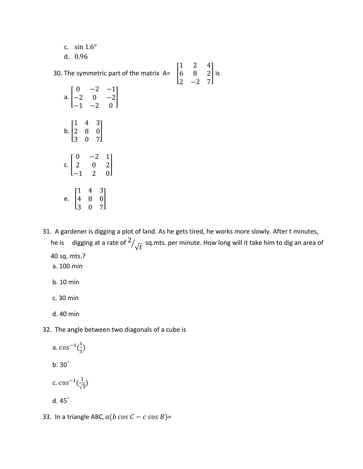c. sin 1.6° d. 0.96

30. The symmetric part of the matrix  $A = \begin{bmatrix} 1 \\ 1 \end{bmatrix}$ 1 2 4 6 8 2 2 −2 7 ] is a. [  $0 -2 -1$ −2 0 −2 −1 −2 0 ] b. [ 1 4 3 2 8 0 3 0 7 ] c. [  $0 -2 1$ 2 0 2 −1 2 0 ]

- e. [ 1 4 3 4 8 0 3 0 7 ]
- 31. A gardener is digging a plot of land. As he gets tired, he works more slowly. After t minutes, he is digging at a rate of  $^2$  $/\sqrt{t} \,$  sq.mts. per minute. How long will it take him to dig an area of 40 sq. mts.?
	- a. 100 min
	- b. 10 min
	- c. 30 min
	- d. 40 min
- 32. The angle between two diagonals of a cube is
- a.  $cos^{-1}(\frac{1}{2})$  $\frac{1}{3}$  b. 30*°* c.  $cos^{-1}(\frac{1}{\sqrt{2}})$  $\frac{1}{\sqrt{3}}$ d. 45*°*
- 33. In a triangle ABC,  $a(b \cos C c \cos B)$ =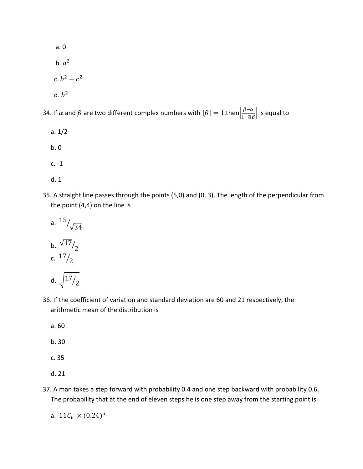a. 0 b.  $a^2$ c.  $b^2 - c^2$ d.  $b^2$ 

34. If  $\alpha$  and  $\beta$  are two different complex numbers with  $|\beta| = 1$ ,then $\left|\frac{\beta - \alpha}{1 - \overline{\alpha}}\right|$  $\left|\frac{p-a}{1-\overline{\alpha}\beta}\right|$  is equal to

- a. 1/2 b. 0 c. -1
- d. 1
- 35. A straight line passes through the points (5,0) and (0, 3). The length of the perpendicular from the point (4,4) on the line is
	- a.  $\frac{15}{\sqrt{34}}$ b.  $\sqrt{17}$  $/2$ c. 17  $/2$ d.  $\sqrt{17}/2$
- 36. If the coefficient of variation and standard deviation are 60 and 21 respectively, the arithmetic mean of the distribution is
	- a. 60
	- b. 30
	- c. 35
	- d. 21
- 37. A man takes a step forward with probability 0.4 and one step backward with probability 0.6. The probability that at the end of eleven steps he is one step away from the starting point is

a. 11 $\mathcal{C}_6 \times (0.24)^5$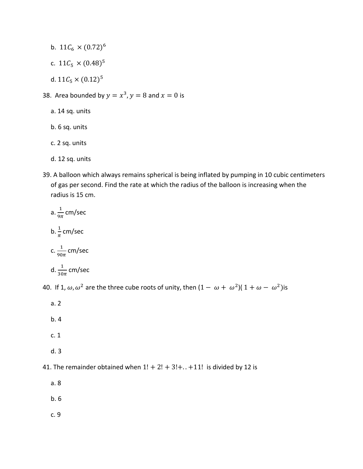- b.  $11\mathcal{C}_6 \times (0.72)^6$
- c.  $11\mathcal{C}_5 \times (0.48)^5$
- d.  $11\mathcal{C}_5 \times (0.12)^5$
- 38. Area bounded by  $y = x^3$ ,  $y = 8$  and  $x = 0$  is
	- a. 14 sq. units
	- b. 6 sq. units
	- c. 2 sq. units
	- d. 12 sq. units
- 39. A balloon which always remains spherical is being inflated by pumping in 10 cubic centimeters of gas per second. Find the rate at which the radius of the balloon is increasing when the radius is 15 cm.

a. 
$$
\frac{1}{9\pi}
$$
 cm/sec  
\nb.  $\frac{1}{\pi}$  cm/sec  
\nc.  $\frac{1}{90\pi}$  cm/sec  
\nd.  $\frac{1}{30\pi}$  cm/sec

40. If 1,  $\omega$ ,  $\omega^2$  are the three cube roots of unity, then  $(1 - \omega + \omega^2)(1 + \omega - \omega^2)$ is

- a. 2
- b. 4
- c. 1
- d. 3

41. The remainder obtained when  $1! + 2! + 3! + ... +11!$  is divided by 12 is

a. 8

b. 6

c. 9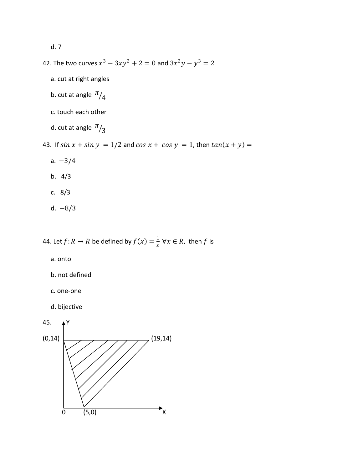d. 7

- 42. The two curves  $x^3 3xy^2 + 2 = 0$  and  $3x^2y y^3 = 2$ 
	- a. cut at right angles
	- b. cut at angle  $\frac{\pi}{4}$
	- c. touch each other
- d. cut at angle  $\frac{\pi}{3}$
- 43. If  $\sin x + \sin y = 1/2$  and  $\cos x + \cos y = 1$ , then  $\tan(x + y) =$ 
	- a. −3/4
	- b. 4/3
	- c. 8/3
	- d.  $-8/3$

44. Let  $f$ :  $R \to R$  be defined by  $f(x) = \frac{1}{x}$  $\frac{1}{x}$   $\forall x \in R$ , then f is

- a. onto
- b. not defined
- c. one-one
- d. bijective

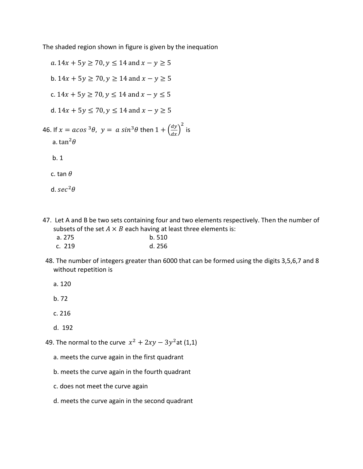The shaded region shown in figure is given by the inequation

 $a. 14x + 5y \ge 70, y \le 14$  and  $x - y \ge 5$ b.  $14x + 5y \ge 70$ ,  $y \ge 14$  and  $x - y \ge 5$ c.  $14x + 5y \ge 70$ ,  $y \le 14$  and  $x - y \le 5$ d.  $14x + 5y \le 70$ ,  $y \le 14$  and  $x - y \ge 5$ 46. If  $x = a cos^{3}\theta$ ,  $y = a sin^{3}\theta$  then  $1 + \left(\frac{dy}{dx}\right)^{2}$ is a. tan $^2\theta$  b. 1 c. tan  $\theta$ d.  $sec^2\theta$ 

47. Let A and B be two sets containing four and two elements respectively. Then the number of subsets of the set  $A \times B$  each having at least three elements is:

| a. 275 | b. 510 |
|--------|--------|
| c. 219 | d. 256 |

- 48. The number of integers greater than 6000 that can be formed using the digits 3,5,6,7 and 8 without repetition is
	- a. 120
	- b. 72
	- c. 216
	- d. 192
- 49. The normal to the curve  $x^2 + 2xy 3y^2$ at (1,1)
	- a. meets the curve again in the first quadrant
	- b. meets the curve again in the fourth quadrant
	- c. does not meet the curve again
	- d. meets the curve again in the second quadrant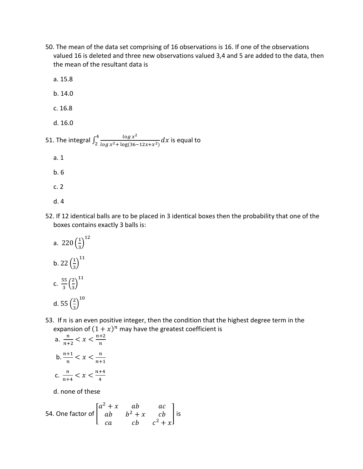- 50. The mean of the data set comprising of 16 observations is 16. If one of the observations valued 16 is deleted and three new observations valued 3,4 and 5 are added to the data, then the mean of the resultant data is
- a. 15.8 b. 14.0 c. 16.8 d. 16.0 51. The integral  $\int_2^4 \frac{\log x^2}{\log x^2 + \log(2\epsilon)}$  $\int_2^4 \frac{\log x^2}{\log x^2 + \log(36-12x+x^2)} dx$  is equal to a. 1 b. 6 c. 2
	- d. 4
- 52. If 12 identical balls are to be placed in 3 identical boxes then the probability that one of the boxes contains exactly 3 balls is:
	- a. 220 $\left(\frac{1}{2}\right)$  $\frac{1}{3}$ )<sup>12</sup> b. 22 $\left(\frac{1}{2}\right)$  $\frac{1}{3}$ <sup>11</sup> c.  $\frac{55}{2}$  $rac{55}{3} igg( \frac{2}{3} igg)$  $\frac{2}{3}$ )<sup>11</sup> d. 55 $\left(\frac{2}{3}\right)$  $\frac{2}{3}$ )<sup>10</sup>
- 53. If  $n$  is an even positive integer, then the condition that the highest degree term in the expansion of  $(1 + x)^n$  may have the greatest coefficient is

a. 
$$
\frac{n}{n+2} < x < \frac{n+2}{n}
$$
  
b.  $\frac{n+1}{n} < x < \frac{n}{n+1}$   
c.  $\frac{n}{n+4} < x < \frac{n+4}{4}$ 

d. none of these

54. One factor of 
$$
\begin{bmatrix} a^2 + x & ab & ac \ ab & b^2 + x & cb \ ca & cb & c^2 + x \end{bmatrix}
$$
 is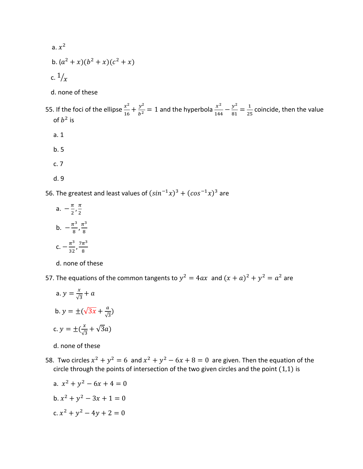- a.  $x^2$
- b.  $(a^2 + x)(b^2 + x)(c^2 + x)$
- c.  $1/\chi$ 
	- d. none of these

55. If the foci of the ellipse  $\frac{x^2}{16}$  $\frac{x^2}{16} + \frac{y^2}{b^2} = 1$  and the hyperbola  $\frac{x^2}{144}$  $rac{x^2}{144} - \frac{y^2}{81}$  $\frac{y^2}{81} = \frac{1}{2!}$  $\frac{1}{25}$  coincide, then the value of  $b^2$  is

- a. 1
- b. 5
- c. 7
- d. 9

56. The greatest and least values of  $(sin^{-1}x)^3 + (cos^{-1}x)^3$  are

a.  $-\frac{\pi}{2}$  $\frac{\pi}{2}, \frac{\pi}{2}$ 2 b.  $-\frac{\pi^3}{8}$  $\frac{\pi^3}{8}, \frac{\pi^3}{8}$ 8 c.  $-\frac{\pi^3}{22}$  $rac{\pi^3}{32}, \frac{7\pi^3}{8}$ 8

d. none of these

57. The equations of the common tangents to  $y^2 = 4ax$  and  $(x + a)^2 + y^2 = a^2$  are

a.  $y = \frac{x}{\sqrt{2}}$  $\frac{x}{\sqrt{3}}+a$ b.  $y = \pm(\sqrt{3x} + \frac{a}{x})$  $\frac{u}{\sqrt{3}}$ c.  $y = \pm(\frac{x}{\sqrt{x}})$  $\frac{x}{\sqrt{3}} + \sqrt{3}a$ 

d. none of these

58. Two circles  $x^2 + y^2 = 6$  and  $x^2 + y^2 - 6x + 8 = 0$  are given. Then the equation of the circle through the points of intersection of the two given circles and the point  $(1,1)$  is

a. 
$$
x^2 + y^2 - 6x + 4 = 0
$$
  
\nb.  $x^2 + y^2 - 3x + 1 = 0$   
\nc.  $x^2 + y^2 - 4y + 2 = 0$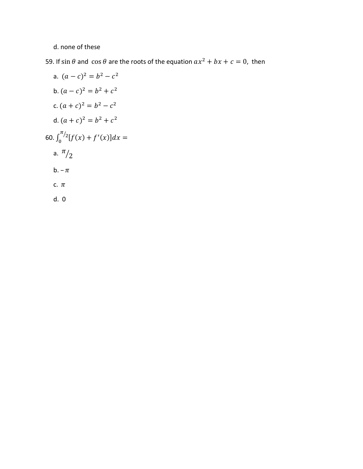## d. none of these

59. If sin  $\theta$  and  $\cos \theta$  are the roots of the equation  $ax^2 + bx + c = 0$ , then

a. 
$$
(a - c)^2 = b^2 - c^2
$$
  
\nb.  $(a - c)^2 = b^2 + c^2$   
\nc.  $(a + c)^2 = b^2 - c^2$   
\nd.  $(a + c)^2 = b^2 + c^2$   
\n60.  $\int_0^{\pi/2} [f(x) + f'(x)] dx =$   
\na.  $\frac{\pi}{2}$   
\nb.  $-\pi$   
\nc.  $\pi$   
\nd. 0